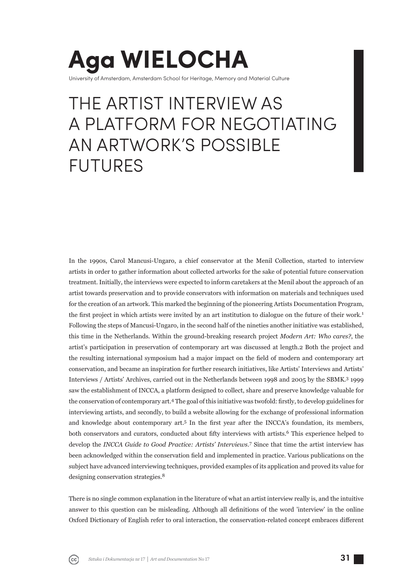## **Aga WIELOCHA** University of Amsterdam, Amsterdam School for Heritage, Memory and Material Culture

# THE ARTIST INTERVIEW AS A PLATFORM FOR NEGOTIATING AN ARTWORK'S POSSIBLE FUTURES

In the 1990s, Carol Mancusi-Ungaro, a chief conservator at the Menil Collection, started to interview artists in order to gather information about collected artworks for the sake of potential future conservation treatment. Initially, the interviews were expected to inform caretakers at the Menil about the approach of an artist towards preservation and to provide conservators with information on materials and techniques used for the creation of an artwork. This marked the beginning of the pioneering Artists Documentation Program, the first project in which artists were invited by an art institution to dialogue on the future of their work.<sup>1</sup> Following the steps of Mancusi-Ungaro, in the second half of the nineties another initiative was established, this time in the Netherlands. Within the ground-breaking research project *Modern Art: Who cares?*, the artist's participation in preservation of contemporary art was discussed at length.2 Both the project and the resulting international symposium had a major impact on the field of modern and contemporary art conservation, and became an inspiration for further research initiatives, like Artists' Interviews and Artists' Interviews / Artists' Archives, carried out in the Netherlands between 1998 and 2005 by the SBMK.<sup>3</sup> 1999 saw the establishment of INCCA, a platform designed to collect, share and preserve knowledge valuable for the conservation of contemporary art.<sup>4</sup> The goal of this initiative was twofold: firstly, to develop guidelines for interviewing artists, and secondly, to build a website allowing for the exchange of professional information and knowledge about contemporary art.<sup>5</sup> In the first year after the INCCA's foundation, its members, both conservators and curators, conducted about fifty interviews with artists.<sup>6</sup> This experience helped to develop the *INCCA Guide to Good Practice: Artists' Interviews*. 7 Since that time the artist interview has been acknowledged within the conservation field and implemented in practice. Various publications on the subject have advanced interviewing techniques, provided examples of its application and proved its value for designing conservation strategies.<sup>8</sup>

There is no single common explanation in the literature of what an artist interview really is, and the intuitive answer to this question can be misleading. Although all definitions of the word 'interview' in the online Oxford Dictionary of English refer to oral interaction, the conservation-related concept embraces different

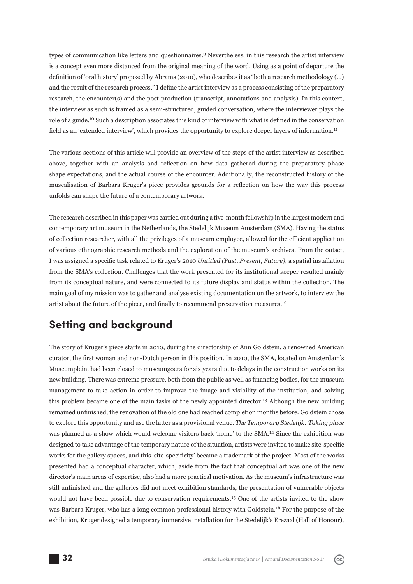types of communication like letters and questionnaires.9 Nevertheless, in this research the artist interview is a concept even more distanced from the original meaning of the word. Using as a point of departure the definition of 'oral history' proposed by Abrams (2010), who describes it as "both a research methodology (...) and the result of the research process," I define the artist interview as a process consisting of the preparatory research, the encounter(s) and the post-production (transcript, annotations and analysis). In this context, the interview as such is framed as a semi-structured, guided conversation, where the interviewer plays the role of a guide.<sup>10</sup> Such a description associates this kind of interview with what is defined in the conservation field as an 'extended interview', which provides the opportunity to explore deeper layers of information.<sup>11</sup>

The various sections of this article will provide an overview of the steps of the artist interview as described above, together with an analysis and reflection on how data gathered during the preparatory phase shape expectations, and the actual course of the encounter. Additionally, the reconstructed history of the musealisation of Barbara Kruger's piece provides grounds for a reflection on how the way this process unfolds can shape the future of a contemporary artwork.

The research described in this paper was carried out during a five-month fellowship in the largest modern and contemporary art museum in the Netherlands, the Stedelijk Museum Amsterdam (SMA). Having the status of collection researcher, with all the privileges of a museum employee, allowed for the efficient application of various ethnographic research methods and the exploration of the museum's archives. From the outset, I was assigned a specifi c task related to Kruger's 2010 *Untitled (Past, Present, Future)*, a spatial installation from the SMA's collection. Challenges that the work presented for its institutional keeper resulted mainly from its conceptual nature, and were connected to its future display and status within the collection. The main goal of my mission was to gather and analyse existing documentation on the artwork, to interview the artist about the future of the piece, and finally to recommend preservation measures.<sup>12</sup>

### **Setting and background**

The story of Kruger's piece starts in 2010, during the directorship of Ann Goldstein, a renowned American curator, the first woman and non-Dutch person in this position. In 2010, the SMA, located on Amsterdam's Museumplein, had been closed to museumgoers for six years due to delays in the construction works on its new building. There was extreme pressure, both from the public as well as financing bodies, for the museum management to take action in order to improve the image and visibility of the institution, and solving this problem became one of the main tasks of the newly appointed director.13 Although the new building remained unfinished, the renovation of the old one had reached completion months before. Goldstein chose to explore this opportunity and use the latter as a provisional venue. *The Temporary Stedelijk: Taking place* was planned as a show which would welcome visitors back 'home' to the SMA.14 Since the exhibition was designed to take advantage of the temporary nature of the situation, artists were invited to make site-specific works for the gallery spaces, and this 'site-specificity' became a trademark of the project. Most of the works presented had a conceptual character, which, aside from the fact that conceptual art was one of the new director's main areas of expertise, also had a more practical motivation. As the museum's infrastructure was still unfinished and the galleries did not meet exhibition standards, the presentation of vulnerable objects would not have been possible due to conservation requirements.15 One of the artists invited to the show was Barbara Kruger, who has a long common professional history with Goldstein.16 For the purpose of the exhibition, Kruger designed a temporary immersive installation for the Stedelijk's Erezaal (Hall of Honour),

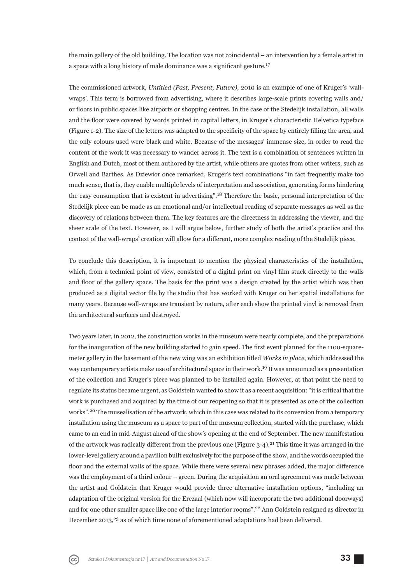the main gallery of the old building. The location was not coincidental – an intervention by a female artist in a space with a long history of male dominance was a significant gesture.<sup>17</sup>

The commissioned artwork, *Untitled (Past, Present, Future),* 2010 is an example of one of Kruger's 'wallwraps'. This term is borrowed from advertising, where it describes large-scale prints covering walls and/ or fl oors in public spaces like airports or shopping centres. In the case of the Stedelijk installation, all walls and the floor were covered by words printed in capital letters, in Kruger's characteristic Helvetica typeface (Figure 1-2). The size of the letters was adapted to the specificity of the space by entirely filling the area, and the only colours used were black and white. Because of the messages' immense size, in order to read the content of the work it was necessary to wander across it. The text is a combination of sentences written in English and Dutch, most of them authored by the artist, while others are quotes from other writers, such as Orwell and Barthes. As Dziewior once remarked, Kruger's text combinations "in fact frequently make too much sense, that is, they enable multiple levels of interpretation and association, generating forms hindering the easy consumption that is existent in advertising".18 Therefore the basic, personal interpretation of the Stedelijk piece can be made as an emotional and/or intellectual reading of separate messages as well as the discovery of relations between them. The key features are the directness in addressing the viewer, and the sheer scale of the text. However, as I will argue below, further study of both the artist's practice and the context of the wall-wraps' creation will allow for a different, more complex reading of the Stedelijk piece.

To conclude this description, it is important to mention the physical characteristics of the installation, which, from a technical point of view, consisted of a digital print on vinyl film stuck directly to the walls and floor of the gallery space. The basis for the print was a design created by the artist which was then produced as a digital vector file by the studio that has worked with Kruger on her spatial installations for many years. Because wall-wraps are transient by nature, after each show the printed vinyl is removed from the architectural surfaces and destroyed.

Two years later, in 2012, the construction works in the museum were nearly complete, and the preparations for the inauguration of the new building started to gain speed. The first event planned for the 1100-squaremeter gallery in the basement of the new wing was an exhibition titled *Works in place*, which addressed the way contemporary artists make use of architectural space in their work.19 It was announced as a presentation of the collection and Kruger's piece was planned to be installed again. However, at that point the need to regulate its status became urgent, as Goldstein wanted to show it as a recent acquisition: "it is critical that the work is purchased and acquired by the time of our reopening so that it is presented as one of the collection works".20 The musealisation of the artwork, which in this case was related to its conversion from a temporary installation using the museum as a space to part of the museum collection, started with the purchase, which came to an end in mid-August ahead of the show's opening at the end of September. The new manifestation of the artwork was radically different from the previous one (Figure  $3-4$ ).<sup>21</sup> This time it was arranged in the lower-level gallery around a pavilion built exclusively for the purpose of the show, and the words occupied the floor and the external walls of the space. While there were several new phrases added, the major difference was the employment of a third colour – green. During the acquisition an oral agreement was made between the artist and Goldstein that Kruger would provide three alternative installation options, "including an adaptation of the original version for the Erezaal (which now will incorporate the two additional doorways) and for one other smaller space like one of the large interior rooms".22 Ann Goldstein resigned as director in December 2013,<sup>23</sup> as of which time none of aforementioned adaptations had been delivered.

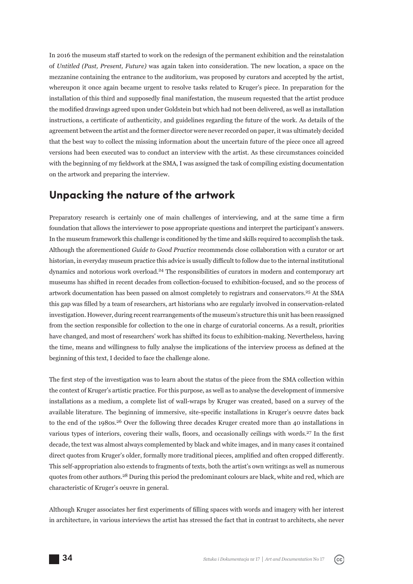In 2016 the museum staff started to work on the redesign of the permanent exhibition and the reinstalation of *Untitled (Past, Present, Future)* was again taken into consideration. The new location, a space on the mezzanine containing the entrance to the auditorium, was proposed by curators and accepted by the artist, whereupon it once again became urgent to resolve tasks related to Kruger's piece. In preparation for the installation of this third and supposedly final manifestation, the museum requested that the artist produce the modified drawings agreed upon under Goldstein but which had not been delivered, as well as installation instructions, a certificate of authenticity, and guidelines regarding the future of the work. As details of the agreement between the artist and the former director were never recorded on paper, it was ultimately decided that the best way to collect the missing information about the uncertain future of the piece once all agreed versions had been executed was to conduct an interview with the artist. As these circumstances coincided with the beginning of my fieldwork at the SMA, I was assigned the task of compiling existing documentation on the artwork and preparing the interview.

#### **Unpacking the nature of the artwork**

Preparatory research is certainly one of main challenges of interviewing, and at the same time a firm foundation that allows the interviewer to pose appropriate questions and interpret the participant's answers. In the museum framework this challenge is conditioned by the time and skills required to accomplish the task. Although the aforementioned *Guide to Good Practice* recommends close collaboration with a curator or art historian, in everyday museum practice this advice is usually difficult to follow due to the internal institutional dynamics and notorious work overload.<sup>24</sup> The responsibilities of curators in modern and contemporary art museums has shifted in recent decades from collection-focused to exhibition-focused, and so the process of artwork documentation has been passed on almost completely to registrars and conservators.25 At the SMA this gap was filled by a team of researchers, art historians who are regularly involved in conservation-related investigation. However, during recent rearrangements of the museum's structure this unit has been reassigned from the section responsible for collection to the one in charge of curatorial concerns. As a result, priorities have changed, and most of researchers' work has shifted its focus to exhibition-making. Nevertheless, having the time, means and willingness to fully analyse the implications of the interview process as defined at the beginning of this text, I decided to face the challenge alone.

The first step of the investigation was to learn about the status of the piece from the SMA collection within the context of Kruger's artistic practice. For this purpose, as well as to analyse the development of immersive installations as a medium, a complete list of wall-wraps by Kruger was created, based on a survey of the available literature. The beginning of immersive, site-specific installations in Kruger's oeuvre dates back to the end of the 1980s.<sup>26</sup> Over the following three decades Kruger created more than 40 installations in various types of interiors, covering their walls, floors, and occasionally ceilings with words.<sup>27</sup> In the first decade, the text was almost always complemented by black and white images, and in many cases it contained direct quotes from Kruger's older, formally more traditional pieces, amplified and often cropped differently. This self-appropriation also extends to fragments of texts, both the artist's own writings as well as numerous quotes from other authors.<sup>28</sup> During this period the predominant colours are black, white and red, which are characteristic of Kruger's oeuvre in general.

Although Kruger associates her first experiments of filling spaces with words and imagery with her interest in architecture, in various interviews the artist has stressed the fact that in contrast to architects, she never

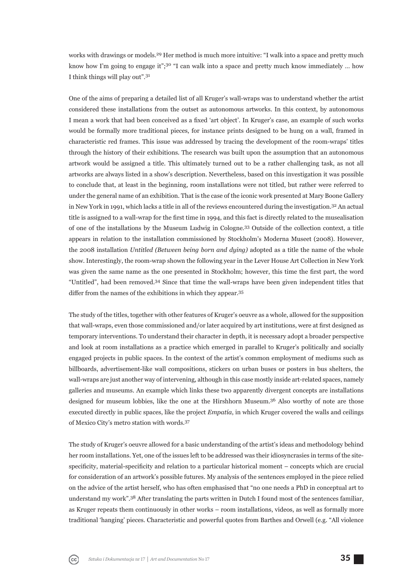works with drawings or models.<sup>29</sup> Her method is much more intuitive: "I walk into a space and pretty much know how I'm going to engage it";<sup>30</sup> "I can walk into a space and pretty much know immediately ... how I think things will play out".<sup>31</sup>

One of the aims of preparing a detailed list of all Kruger's wall-wraps was to understand whether the artist considered these installations from the outset as autonomous artworks. In this context, by autonomous I mean a work that had been conceived as a fixed 'art object'. In Kruger's case, an example of such works would be formally more traditional pieces, for instance prints designed to be hung on a wall, framed in characteristic red frames. This issue was addressed by tracing the development of the room-wraps' titles through the history of their exhibitions. The research was built upon the assumption that an autonomous artwork would be assigned a title. This ultimately turned out to be a rather challenging task, as not all artworks are always listed in a show's description. Nevertheless, based on this investigation it was possible to conclude that, at least in the beginning, room installations were not titled, but rather were referred to under the general name of an exhibition. That is the case of the iconic work presented at Mary Boone Gallery in New York in 1991, which lacks a title in all of the reviews encountered during the investigation.32 An actual title is assigned to a wall-wrap for the first time in 1994, and this fact is directly related to the musealisation of one of the installations by the Museum Ludwig in Cologne.33 Outside of the collection context, a title appears in relation to the installation commissioned by Stockholm's Moderna Museet (2008). However, the 2008 installation *Untitled (Between being born and dying)* adopted as a title the name of the whole show. Interestingly, the room-wrap shown the following year in the Lever House Art Collection in New York was given the same name as the one presented in Stockholm; however, this time the first part, the word "Untitled", had been removed.34 Since that time the wall-wraps have been given independent titles that differ from the names of the exhibitions in which they appear.<sup>35</sup>

The study of the titles, together with other features of Kruger's oeuvre as a whole, allowed for the supposition that wall-wraps, even those commissioned and/or later acquired by art institutions, were at first designed as temporary interventions. To understand their character in depth, it is necessary adopt a broader perspective and look at room installations as a practice which emerged in parallel to Kruger's politically and socially engaged projects in public spaces. In the context of the artist's common employment of mediums such as billboards, advertisement-like wall compositions, stickers on urban buses or posters in bus shelters, the wall-wraps are just another way of intervening, although in this case mostly inside art-related spaces, namely galleries and museums. An example which links these two apparently divergent concepts are installations designed for museum lobbies, like the one at the Hirshhorn Museum.36 Also worthy of note are those executed directly in public spaces, like the project *Empatía*, in which Kruger covered the walls and ceilings of Mexico City's metro station with words.<sup>37</sup>

The study of Kruger's oeuvre allowed for a basic understanding of the artist's ideas and methodology behind her room installations. Yet, one of the issues left to be addressed was their idiosyncrasies in terms of the sitespecificity, material-specificity and relation to a particular historical moment – concepts which are crucial for consideration of an artwork's possible futures. My analysis of the sentences employed in the piece relied on the advice of the artist herself, who has often emphasised that "no one needs a PhD in conceptual art to understand my work".38 After translating the parts written in Dutch I found most of the sentences familiar, as Kruger repeats them continuously in other works – room installations, videos, as well as formally more traditional 'hanging' pieces. Characteristic and powerful quotes from Barthes and Orwell (e.g. "All violence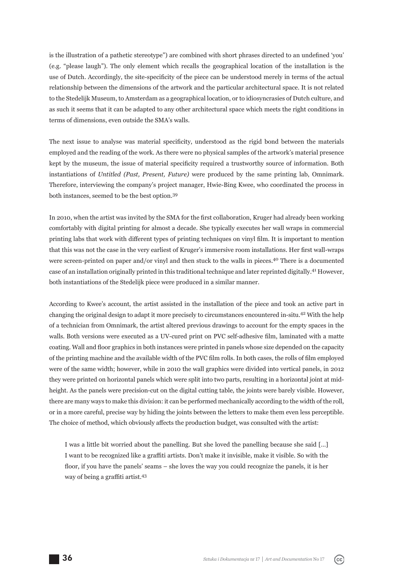is the illustration of a pathetic stereotype") are combined with short phrases directed to an undefined 'you' (e.g. "please laugh"). The only element which recalls the geographical location of the installation is the use of Dutch. Accordingly, the site-specificity of the piece can be understood merely in terms of the actual relationship between the dimensions of the artwork and the particular architectural space. It is not related to the Stedelijk Museum, to Amsterdam as a geographical location, or to idiosyncrasies of Dutch culture, and as such it seems that it can be adapted to any other architectural space which meets the right conditions in terms of dimensions, even outside the SMA's walls.

The next issue to analyse was material specificity, understood as the rigid bond between the materials employed and the reading of the work. As there were no physical samples of the artwork's material presence kept by the museum, the issue of material specificity required a trustworthy source of information. Both instantiations of *Untitled (Past, Present, Future)* were produced by the same printing lab, Omnimark. Therefore, interviewing the company's project manager, Hwie-Bing Kwee, who coordinated the process in both instances, seemed to be the best option.<sup>39</sup>

In 2010, when the artist was invited by the SMA for the first collaboration. Kruger had already been working comfortably with digital printing for almost a decade. She typically executes her wall wraps in commercial printing labs that work with different types of printing techniques on vinyl film. It is important to mention that this was not the case in the very earliest of Kruger's immersive room installations. Her first wall-wraps were screen-printed on paper and/or vinyl and then stuck to the walls in pieces.40 There is a documented case of an installation originally printed in this traditional technique and later reprinted digitally.<sup>41</sup> However, both instantiations of the Stedelijk piece were produced in a similar manner.

According to Kwee's account, the artist assisted in the installation of the piece and took an active part in changing the original design to adapt it more precisely to circumstances encountered in-situ.42 With the help of a technician from Omnimark, the artist altered previous drawings to account for the empty spaces in the walls. Both versions were executed as a UV-cured print on PVC self-adhesive film, laminated with a matte coating. Wall and floor graphics in both instances were printed in panels whose size depended on the capacity of the printing machine and the available width of the PVC film rolls. In both cases, the rolls of film employed were of the same width; however, while in 2010 the wall graphics were divided into vertical panels, in 2012 they were printed on horizontal panels which were split into two parts, resulting in a horizontal joint at midheight. As the panels were precision-cut on the digital cutting table, the joints were barely visible. However, there are many ways to make this division: it can be performed mechanically according to the width of the roll, or in a more careful, precise way by hiding the joints between the letters to make them even less perceptible. The choice of method, which obviously affects the production budget, was consulted with the artist:

I was a little bit worried about the panelling. But she loved the panelling because she said […] I want to be recognized like a graffiti artists. Don't make it invisible, make it visible. So with the floor, if you have the panels' seams – she loves the way you could recognize the panels, it is her way of being a graffiti artist.<sup>43</sup>

36 *Sztuka i Dokumentacja* nr 17 *│ Art and Documentation* No 17

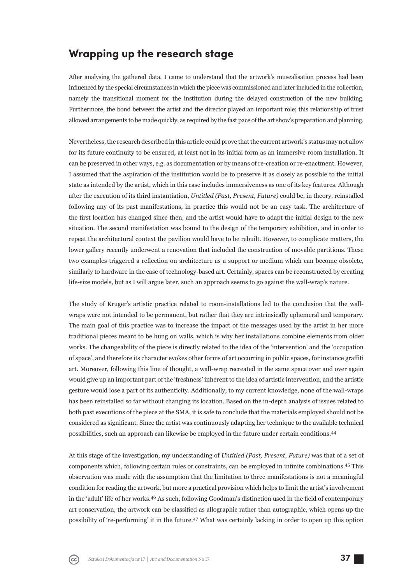#### **Wrapping up the research stage**

After analysing the gathered data, I came to understand that the artwork's musealisation process had been influenced by the special circumstances in which the piece was commissioned and later included in the collection, namely the transitional moment for the institution during the delayed construction of the new building. Furthermore, the bond between the artist and the director played an important role; this relationship of trust allowed arrangements to be made quickly, as required by the fast pace of the art show's preparation and planning.

Nevertheless, the research described in this article could prove that the current artwork's status may not allow for its future continuity to be ensured, at least not in its initial form as an immersive room installation. It can be preserved in other ways, e.g. as documentation or by means of re-creation or re-enactment. However, I assumed that the aspiration of the institution would be to preserve it as closely as possible to the initial state as intended by the artist, which in this case includes immersiveness as one of its key features. Although after the execution of its third instantiation, *Untitled (Past, Present, Future)* could be, in theory, reinstalled following any of its past manifestations, in practice this would not be an easy task. The architecture of the first location has changed since then, and the artist would have to adapt the initial design to the new situation. The second manifestation was bound to the design of the temporary exhibition, and in order to repeat the architectural context the pavilion would have to be rebuilt. However, to complicate matters, the lower gallery recently underwent a renovation that included the construction of movable partitions. These two examples triggered a reflection on architecture as a support or medium which can become obsolete, similarly to hardware in the case of technology-based art. Certainly, spaces can be reconstructed by creating life-size models, but as I will argue later, such an approach seems to go against the wall-wrap's nature.

The study of Kruger's artistic practice related to room-installations led to the conclusion that the wallwraps were not intended to be permanent, but rather that they are intrinsically ephemeral and temporary. The main goal of this practice was to increase the impact of the messages used by the artist in her more traditional pieces meant to be hung on walls, which is why her installations combine elements from older works. The changeability of the piece is directly related to the idea of the 'intervention' and the 'occupation of space', and therefore its character evokes other forms of art occurring in public spaces, for instance graffi ti art. Moreover, following this line of thought, a wall-wrap recreated in the same space over and over again would give up an important part of the 'freshness' inherent to the idea of artistic intervention, and the artistic gesture would lose a part of its authenticity. Additionally, to my current knowledge, none of the wall-wraps has been reinstalled so far without changing its location. Based on the in-depth analysis of issues related to both past executions of the piece at the SMA, it is safe to conclude that the materials employed should not be considered as significant. Since the artist was continuously adapting her technique to the available technical possibilities, such an approach can likewise be employed in the future under certain conditions.<sup>44</sup>

At this stage of the investigation, my understanding of *Untitled (Past, Present, Future)* was that of a set of components which, following certain rules or constraints, can be employed in infinite combinations.<sup>45</sup> This observation was made with the assumption that the limitation to three manifestations is not a meaningful condition for reading the artwork, but more a practical provision which helps to limit the artist's involvement in the 'adult' life of her works.<sup>46</sup> As such, following Goodman's distinction used in the field of contemporary art conservation, the artwork can be classified as allographic rather than autographic, which opens up the possibility of 're-performing' it in the future.47 What was certainly lacking in order to open up this option

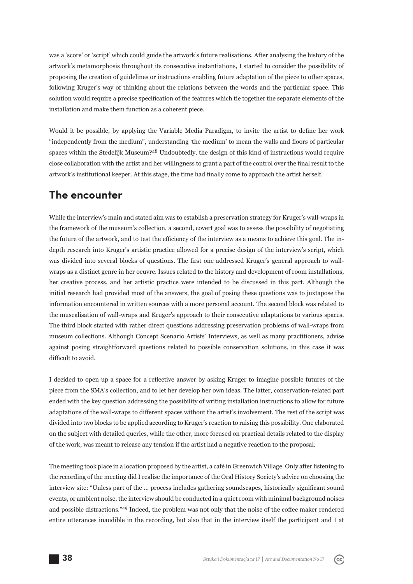was a 'score' or 'script' which could guide the artwork's future realisations. After analysing the history of the artwork's metamorphosis throughout its consecutive instantiations, I started to consider the possibility of proposing the creation of guidelines or instructions enabling future adaptation of the piece to other spaces, following Kruger's way of thinking about the relations between the words and the particular space. This solution would require a precise specification of the features which tie together the separate elements of the installation and make them function as a coherent piece.

Would it be possible, by applying the Variable Media Paradigm, to invite the artist to define her work "independently from the medium", understanding 'the medium' to mean the walls and floors of particular spaces within the Stedelijk Museum?48 Undoubtedly, the design of this kind of instructions would require close collaboration with the artist and her willingness to grant a part of the control over the final result to the artwork's institutional keeper. At this stage, the time had finally come to approach the artist herself.

#### **The encounter**

While the interview's main and stated aim was to establish a preservation strategy for Kruger's wall-wraps in the framework of the museum's collection, a second, covert goal was to assess the possibility of negotiating the future of the artwork, and to test the efficiency of the interview as a means to achieve this goal. The indepth research into Kruger's artistic practice allowed for a precise design of the interview's script, which was divided into several blocks of questions. The first one addressed Kruger's general approach to wallwraps as a distinct genre in her oeuvre. Issues related to the history and development of room installations, her creative process, and her artistic practice were intended to be discussed in this part. Although the initial research had provided most of the answers, the goal of posing these questions was to juxtapose the information encountered in written sources with a more personal account. The second block was related to the musealisation of wall-wraps and Kruger's approach to their consecutive adaptations to various spaces. The third block started with rather direct questions addressing preservation problems of wall-wraps from museum collections. Although Concept Scenario Artists' Interviews, as well as many practitioners, advise against posing straightforward questions related to possible conservation solutions, in this case it was difficult to avoid.

I decided to open up a space for a reflective answer by asking Kruger to imagine possible futures of the piece from the SMA's collection, and to let her develop her own ideas. The latter, conservation-related part ended with the key question addressing the possibility of writing installation instructions to allow for future adaptations of the wall-wraps to different spaces without the artist's involvement. The rest of the script was divided into two blocks to be applied according to Kruger's reaction to raising this possibility. One elaborated on the subject with detailed queries, while the other, more focused on practical details related to the display of the work, was meant to release any tension if the artist had a negative reaction to the proposal.

The meeting took place in a location proposed by the artist, a café in Greenwich Village. Only after listening to the recording of the meeting did I realise the importance of the Oral History Society's advice on choosing the interview site: "Unless part of the ... process includes gathering soundscapes, historically significant sound events, or ambient noise, the interview should be conducted in a quiet room with minimal background noises and possible distractions."<sup>49</sup> Indeed, the problem was not only that the noise of the coffee maker rendered entire utterances inaudible in the recording, but also that in the interview itself the participant and I at

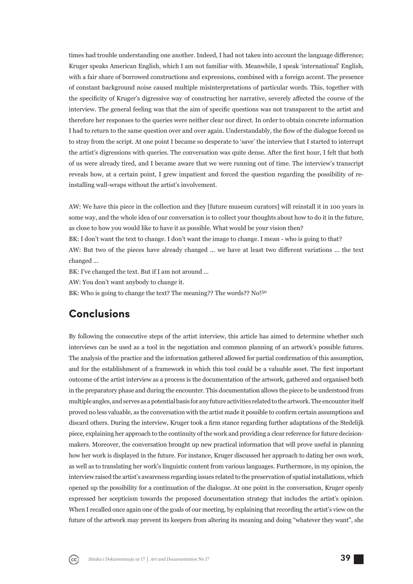times had trouble understanding one another. Indeed, I had not taken into account the language difference; Kruger speaks American English, which I am not familiar with. Meanwhile, I speak 'international' English, with a fair share of borrowed constructions and expressions, combined with a foreign accent. The presence of constant background noise caused multiple misinterpretations of particular words. This, together with the specificity of Kruger's digressive way of constructing her narrative, severely affected the course of the interview. The general feeling was that the aim of specific questions was not transparent to the artist and therefore her responses to the queries were neither clear nor direct. In order to obtain concrete information I had to return to the same question over and over again. Understandably, the flow of the dialogue forced us to stray from the script. At one point I became so desperate to 'save' the interview that I started to interrupt the artist's digressions with queries. The conversation was quite dense. After the first hour, I felt that both of us were already tired, and I became aware that we were running out of time. The interview's transcript reveals how, at a certain point, I grew impatient and forced the question regarding the possibility of reinstalling wall-wraps without the artist's involvement.

AW: We have this piece in the collection and they [future museum curators] will reinstall it in 100 years in some way, and the whole idea of our conversation is to collect your thoughts about how to do it in the future, as close to how you would like to have it as possible. What would be your vision then?

BK: I don't want the text to change. I don't want the image to change. I mean - who is going to that?

AW: But two of the pieces have already changed ... we have at least two different variations ... the text changed ...

BK: I've changed the text. But if I am not around ...

AW: You don't want anybody to change it.

BK: Who is going to change the text? The meaning?? The words?? No!<sup>50</sup>

### **Conclusions**

By following the consecutive steps of the artist interview, this article has aimed to determine whether such interviews can be used as a tool in the negotiation and common planning of an artwork's possible futures. The analysis of the practice and the information gathered allowed for partial confirmation of this assumption, and for the establishment of a framework in which this tool could be a valuable asset. The first important outcome of the artist interview as a process is the documentation of the artwork, gathered and organised both in the preparatory phase and during the encounter. This documentation allows the piece to be understood from multiple angles, and serves as a potential basis for any future activities related to the artwork. The encounter itself proved no less valuable, as the conversation with the artist made it possible to confirm certain assumptions and discard others. During the interview, Kruger took a firm stance regarding further adaptations of the Stedelijk piece, explaining her approach to the continuity of the work and providing a clear reference for future decisionmakers. Moreover, the conversation brought up new practical information that will prove useful in planning how her work is displayed in the future. For instance, Kruger discussed her approach to dating her own work, as well as to translating her work's linguistic content from various languages. Furthermore, in my opinion, the interview raised the artist's awareness regarding issues related to the preservation of spatial installations, which opened up the possibility for a continuation of the dialogue. At one point in the conversation, Kruger openly expressed her scepticism towards the proposed documentation strategy that includes the artist's opinion. When I recalled once again one of the goals of our meeting, by explaining that recording the artist's view on the future of the artwork may prevent its keepers from altering its meaning and doing "whatever they want", she

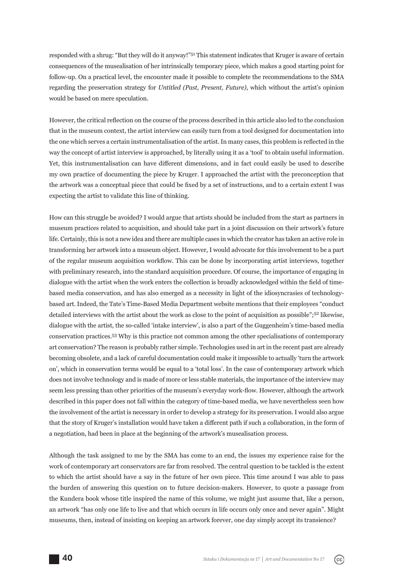responded with a shrug: "But they will do it anyway!"51 This statement indicates that Kruger is aware of certain consequences of the musealisation of her intrinsically temporary piece, which makes a good starting point for follow-up. On a practical level, the encounter made it possible to complete the recommendations to the SMA regarding the preservation strategy for *Untitled (Past, Present, Future)*, which without the artist's opinion would be based on mere speculation.

However, the critical reflection on the course of the process described in this article also led to the conclusion that in the museum context, the artist interview can easily turn from a tool designed for documentation into the one which serves a certain instrumentalisation of the artist. In many cases, this problem is reflected in the way the concept of artist interview is approached, by literally using it as a 'tool' to obtain useful information. Yet, this instrumentalisation can have different dimensions, and in fact could easily be used to describe my own practice of documenting the piece by Kruger. I approached the artist with the preconception that the artwork was a conceptual piece that could be fixed by a set of instructions, and to a certain extent I was expecting the artist to validate this line of thinking.

How can this struggle be avoided? I would argue that artists should be included from the start as partners in museum practices related to acquisition, and should take part in a joint discussion on their artwork's future life. Certainly, this is not a new idea and there are multiple cases in which the creator has taken an active role in transforming her artwork into a museum object. However, I would advocate for this involvement to be a part of the regular museum acquisition workflow. This can be done by incorporating artist interviews, together with preliminary research, into the standard acquisition procedure. Of course, the importance of engaging in dialogue with the artist when the work enters the collection is broadly acknowledged within the field of timebased media conservation, and has also emerged as a necessity in light of the idiosyncrasies of technologybased art. Indeed, the Tate's Time-Based Media Department website mentions that their employees "conduct detailed interviews with the artist about the work as close to the point of acquisition as possible";52 likewise, dialogue with the artist, the so-called 'intake interview', is also a part of the Guggenheim's time-based media conservation practices.53 Why is this practice not common among the other specialisations of contemporary art conservation? The reason is probably rather simple. Technologies used in art in the recent past are already becoming obsolete, and a lack of careful documentation could make it impossible to actually 'turn the artwork on', which in conservation terms would be equal to a 'total loss'. In the case of contemporary artwork which does not involve technology and is made of more or less stable materials, the importance of the interview may seem less pressing than other priorities of the museum's everyday work-flow. However, although the artwork described in this paper does not fall within the category of time-based media, we have nevertheless seen how the involvement of the artist is necessary in order to develop a strategy for its preservation. I would also argue that the story of Kruger's installation would have taken a different path if such a collaboration, in the form of a negotiation, had been in place at the beginning of the artwork's musealisation process.

Although the task assigned to me by the SMA has come to an end, the issues my experience raise for the work of contemporary art conservators are far from resolved. The central question to be tackled is the extent to which the artist should have a say in the future of her own piece. This time around I was able to pass the burden of answering this question on to future decision-makers. However, to quote a passage from the Kundera book whose title inspired the name of this volume, we might just assume that, like a person, an artwork "has only one life to live and that which occurs in life occurs only once and never again". Might museums, then, instead of insisting on keeping an artwork forever, one day simply accept its transience?

40

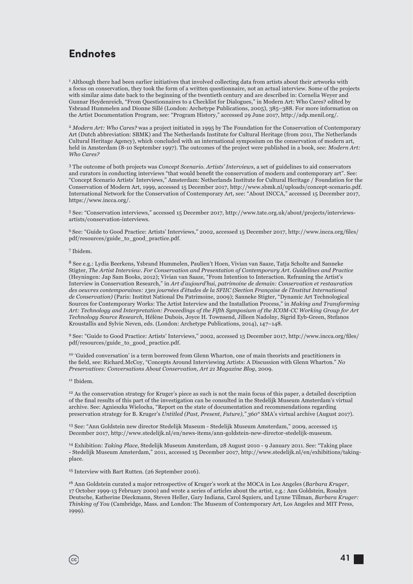### **Endnotes**

<sup>1</sup> Although there had been earlier initiatives that involved collecting data from artists about their artworks with a focus on conservation, they took the form of a written questionnaire, not an actual interview. Some of the projects with similar aims date back to the beginning of the twentieth century and are described in: Cornelia Weyer and Gunnar Heydenreich, "From Questionnaires to a Checklist for Dialogues," in Modern Art: Who Cares? edited by Ysbrand Hummelen and Dionne Sillé (London: Archetype Publications, 2005), 385–388. For more information on the Artist Documentation Program, see: "Program History," accessed 29 June 2017, http://adp.menil.org/.

<sup>2</sup> *Modern Art: Who Cares?* was a project initiated in 1995 by The Foundation for the Conservation of Contemporary Art (Dutch abbreviation: SBMK) and The Netherlands Institute for Cultural Heritage (from 2011, The Netherlands Cultural Heritage Agency) , which concluded with an international symposium on the conservation of modern art, held in Amsterdam (8-10 September 1997). The outcomes of the project were published in a book, see: *Modern Art: Who Cares?*

3 The outcome of both projects was *Concept Scenario. Artists' Interviews*, a set of guidelines to aid conservators and curators in conducting interviews "that would benefit the conservation of modern and contemporary art". See: "Concept Scenario Artists' Interviews," Amsterdam: Netherlands Institute for Cultural Heritage / Foundation for the Conservation of Modern Art, 1999, accessed 15 December 2017, http://www.sbmk.nl/uploads/concept-scenario.pdf. International Network for the Conservation of Contemporary Art, see: "About INCCA," accessed 15 December 2017, https://www.incca.org/.

5 See: "Conservation interviews," accessed 15 December 2017, http://www.tate.org.uk/about/projects/interviewsartists/conservation-interviews.

<sup>6</sup> See: "Guide to Good Practice: Artists' Interviews," 2002, accessed 15 December 2017, http://www.incca.org/files/ pdf/resources/guide\_to\_good\_practice.pdf.

7 Ibidem.

8 See e.g.: Lydia Beerkens, Ysbrand Hummelen, Paulien't Hoen, Vivian van Saaze, Tatja Scholte and Sanneke Stigter, *The Artist Interview. For Conservation and Presentation of Contemporary Art. Guidelines and Practice* (Heyningen: Jap Sam Books, 2012); Vivian van Saaze, "From Intention to Interaction. Reframing the Artist's Interview in Conservation Research," in *Art d'aujourd'hui, patrimoine de demain: Conservation et restauration des oeuvres contemporaines: 13es journées d'études de la SFIIC (Section Française de l'Institut International de Conservation)* (Paris: Institut National Du Patrimoine, 2009); Sanneke Stigter, "Dynamic Art Technological Sources for Contemporary Works: The Artist Interview and the Installation Process," in *Making and Transforming Art: Technology and Interpretation: Proceedings of the Fifth Symposium of the ICOM-CC Working Group for Art Technology Source Research*, Hélène Dubois, Joyce H. Townsend, Jilleen Nadolny, Sigrid Eyb-Green, Stefanos Kroustallis and Sylvie Neven, eds. (London: Archetype Publications, 2014), 147–148.

9 See: "Guide to Good Practice: Artists' Interviews," 2002, accessed 15 December 2017, http://www.incca.org/files/ pdf/resources/guide\_to\_good\_practice.pdf.

<sup>10</sup> 'Guided conversation' is a term borrowed from Glenn Wharton, one of main theorists and practitioners in the field, see: Richard.McCoy, "Concepts Around Interviewing Artists: A Discussion with Glenn Wharton." No *Preservatives: Conversations About Conservation, Art 21 Magazine Blog*, 2009.

#### 11 Ibidem.

 $(c_{c})$ 

12 As the conservation strategy for Kruger's piece as such is not the main focus of this paper, a detailed description of the final results of this part of the investigation can be consulted in the Stedelijk Museum Amsterdam's virtual archive. See: Agnieszka Wielocha, "Report on the state of documentation and recommendations regarding preservation strategy for B. Kruger's *Untitled (Past, Present, Future)," 360°* SMA's virtual archive (August 2017).

13 See: "Ann Goldstein new director Stedelijk Museum - Stedelijk Museum Amsterdam," 2009, accessed 15 December 2017, http://www.stedelijk.nl/en/news-items/ann-goldstein-new-director-stedelijk-museum.

14 Exhibition: *Taking Place*, Stedelijk Museum Amsterdam, 28 August 2010 - 9 January 2011. See: "Taking place - Stedelijk Museum Amsterdam," 2011, accessed 15 December 2017, http://www.stedelijk.nl/en/exhibitions/takingplace.

15 Interview with Bart Rutten. (26 September 2016).

16 Ann Goldstein curated a major retrospective of Kruger's work at the MOCA in Los Angeles (*Barbara Kruger*, 17 October 1999-13 February 2000) and wrote a series of articles about the artist, e.g.: Ann Goldstein, Rosalyn Deutsche, Katherine Dieckmann, Steven Heller, Gary Indiana, Carol Squiers, and Lynne Tillman, *Barbara Kruger: Thinking of You* (Cambridge, Mass. and London: The Museum of Contemporary Art, Los Angeles and MIT Press, 1999).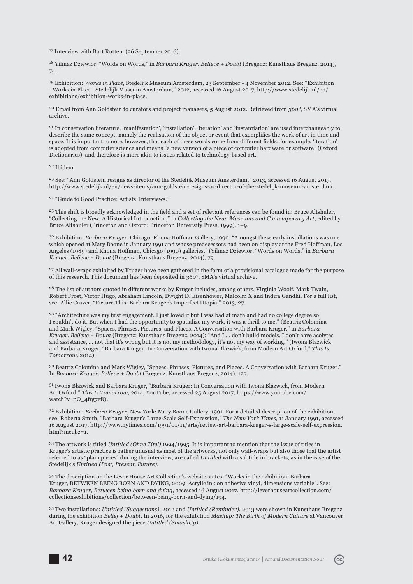<sup>17</sup> Interview with Bart Rutten. (26 September 2016).

18 Yilmaz Dziewior, "Words on Words," in *Barbara Kruger. Believe + Doubt* (Bregenz: Kunsthaus Bregenz, 2014), 74.

19 Exhibition: *Works in Place*, Stedelijk Museum Amsterdam, 23 September - 4 November 2012. See: "Exhibition - Works in Place - Stedelijk Museum Amsterdam," 2012, accessed 16 August 2017, http://www.stedelijk.nl/en/ exhibitions/exhibition-works-in-place.

20 Email from Ann Goldstein to curators and project managers, 5 August 2012. Retrieved from *360°*, SMA's virtual archive.

21 In conservation literature, 'manifestation', 'installation', 'iteration' and 'instantiation' are used interchangeably to describe the same concept, namely the realisation of the object or event that exemplifies the work of art in time and space. It is important to note, however, that each of these words come from different fields; for example, 'iteration' is adopted from computer science and means "a new version of a piece of computer hardware or software" (Oxford Dictionaries), and therefore is more akin to issues related to technology-based art.

22 Ibidem.

23 See: "Ann Goldstein resigns as director of the Stedelijk Museum Amsterdam," 2013, accessed 16 August 2017, http://www.stedelijk.nl/en/news-items/ann-goldstein-resigns-as-director-of-the-stedelijk-museum-amsterdam.

24 "Guide to Good Practice: Artists' Interviews."

<sup>25</sup> This shift is broadly acknowledged in the field and a set of relevant references can be found in: Bruce Altshuler, "Collecting the New. A Historical Introduction," in *Collecting the New: Museums and Contemporary Art*, edited by Bruce Altshuler (Princeton and Oxford: Princeton University Press, 1999), 1–9.

<sup>26</sup> Exhibition: *Barbara Kruger*. Chicago: Rhona Hoffman Gallery, 1990. "Amongst these early installations was one which opened at Mary Boone in January 1991 and whose predecessors had been on display at the Fred Hoffman, Los Angeles (1989) and Rhona Hoffman, Chicago (1990) galleries." (Yilmaz Dziewior, "Words on Words," in *Barbara Kruger. Believe + Doubt* (Bregenz: Kunsthaus Bregenz, 2014), 79.

<sup>27</sup> All wall-wraps exhibited by Kruger have been gathered in the form of a provisional catalogue made for the purpose of this research. This document has been deposited in *360°*, SMA's virtual archive.

<sup>28</sup> The list of authors quoted in different works by Kruger includes, among others, Virginia Woolf, Mark Twain, Robert Frost, Victor Hugo, Abraham Lincoln, Dwight D. Eisenhower, Malcolm X and Indira Gandhi. For a full list, see: Allie Craver, "Picture This: Barbara Kruger's Imperfect Utopia," 2013, 27.

<sup>29</sup> "Architecture was my first engagement. I just loved it but I was bad at math and had no college degree so I couldn't do it. But when I had the opportunity to spatialize my work, it was a thrill to me." (Beatriz Colomina and Mark Wigley, "Spaces, Phrases, Pictures, and Places. A Conversation with Barbara Kruger," in *Barbara Kruger. Believe + Doubt* (Bregenz: Kunsthaus Bregenz, 2014); "And I ... don't build models, I don't have acolytes and assistance, … not that it's wrong but it is not my methodology, it's not my way of working." (Iwona Blazwick and Barbara Kruger, "Barbara Kruger: In Conversation with Iwona Blazwick, from Modern Art Oxford," *This Is Tomorrow,* 2014).

30 Beatriz Colomina and Mark Wigley, "Spaces, Phrases, Pictures, and Places. A Conversation with Barbara Kruger." In *Barbara Kruger. Believe + Doubt* (Bregenz: Kunsthaus Bregenz, 2014), 125.

31 Iwona Blazwick and Barbara Kruger, "Barbara Kruger: In Conversation with Iwona Blazwick, from Modern Art Oxford," *This Is Tomorrow*, 2014, YouTube, accessed 25 August 2017, https://www.youtube.com/ watch?v=pO\_4frg7efQ.

32 Exhibition: *Barbara Kruger*, New York: Mary Boone Gallery, 1991. For a detailed description of the exhibition, see: Roberta Smith, "Barbara Kruger's Large-Scale Self-Expression," *The New York Times,* 11 January 1991, accessed 16 August 2017, http://www.nytimes.com/1991/01/11/arts/review-art-barbara-kruger-s-large-scale-self-expression.  $html?$ mcubz=1.

33 The artwork is titled *Untitled (Ohne Titel)* 1994/1995. It is important to mention that the issue of titles in Kruger's artistic practice is rather unusual as most of the artworks, not only wall-wraps but also those that the artist referred to as "plain pieces" during the interview, are called *Untitled* with a subtitle in brackets, as in the case of the Stedelijk's *Untitled (Past, Present, Future)*.

34 The description on the Lever House Art Collection's website states: "Works in the exhibition: Barbara Kruger, BETWEEN BEING BORN AND DYING, 2009. Acrylic ink on adhesive vinyl, dimensions variable". See: *Barbara Kruger, Between being born and dying,* accessed 16 August 2017, http://leverhouseartcollection.com/ collectionsexhibitions/collection/between-being-born-and-dying/194.

35 Two installations: *Untitled (Suggestions)*, 2013 and *Untitled (Reminder)*, 2013 were shown in Kunsthaus Bregenz during the exhibition *Belief + Doubt*. In 2016, for the exhibition *Mashup: The Birth of Modern Culture* at Vancouver Art Gallery, Kruger designed the piece *Untitled (SmashUp)*.



 $(cc)$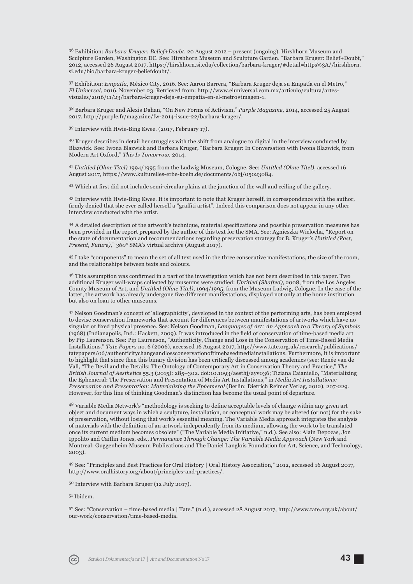36 Exhibition: *Barbara Kruger: Belief+Doubt*. 20 August 2012 – present (ongoing). Hirshhorn Museum and Sculpture Garden, Washington DC. See: Hirshhorn Museum and Sculpture Garden. "Barbara Kruger: Belief+Doubt," 2012, accessed 26 August 2017, https://hirshhorn.si.edu/collection/barbara-kruger/#detail=https%3A//hirshhorn. si.edu/bio/barbara-kruger-beliefdoubt/.

37 Exhibition: *Empatía*, México City, 2016. See: Aaron Barrera, "Barbara Kruger deja su Empatía en el Metro," *El Universal*, 2016, November 23. Retrieved from: http://www.eluniversal.com.mx/articulo/cultura/artesvisuales/2016/11/23/barbara-kruger-deja-su-empatia-en-el-metro#imagen-1.

38 Barbara Kruger and Alexis Dahan, "On New Forms of Activism," *Purple Magazine*, 2014, accessed 25 August 2017. http://purple.fr/magazine/fw-2014-issue-22/barbara-kruger/.

39 Interview with Hwie-Bing Kwee. (2017, February 17).

40 Kruger describes in detail her struggles with the shift from analogue to digital in the interview conducted by Blazwick. See: Iwona Blazwick and Barbara Kruger, "Barbara Kruger: In Conversation with Iwona Blazwick, from Modern Art Oxford," *This Is Tomorrow,* 2014.

<sup>41</sup> *Untitled (Ohne Titel)* 1994/1995 from the Ludwig Museum, Cologne. See: *Untitled (Ohne Titel)*, accessed 16 August 2017, https://www.kulturelles-erbe-koeln.de/documents/obj/05023084.

<sup>42</sup> Which at first did not include semi-circular plains at the junction of the wall and ceiling of the gallery.

43 Interview with Hwie-Bing Kwee. It is important to note that Kruger herself, in correspondence with the author, firmly denied that she ever called herself a "graffiti artist". Indeed this comparison does not appear in any other interview conducted with the artist.

44 A detailed description of the artwork's technique, material specifications and possible preservation measures has been provided in the report prepared by the author of this text for the SMA. See: Agnieszka Wielocha, "Report on the state of documentation and recommendations regarding preservation strategy for B. Kruger's *Untitled (Past, Present, Future)*," *360°* SMA's virtual archive (August 2017).

45 I take "components" to mean the set of all text used in the three consecutive manifestations, the size of the room, and the relationships between texts and colours.

<sup>46</sup> This assumption was confirmed in a part of the investigation which has not been described in this paper. Two additional Kruger wall-wraps collected by museums were studied: *Untitled (Shafted)*, 2008, from the Los Angeles County Museum of Art, and *Untitled (Ohne Titel)*, 1994/1995, from the Museum Ludwig, Cologne. In the case of the latter, the artwork has already undergone five different manifestations, displayed not only at the home institution but also on loan to other museums.

47 Nelson Goodman's concept of 'allographicity', developed in the context of the performing arts, has been employed to devise conservation frameworks that account for differences between manifestations of artworks which have no singular or fixed physical presence. See: Nelson Goodman, *Languages of Art: An Approach to a Theory of Symbols* (1968) (Indianapolis, Ind.: Hackett, 2009). It was introduced in the field of conservation of time-based media art by Pip Laurenson. See: Pip Laurenson, "Authenticity, Change and Loss in the Conservation of Time-Based Media Installations." *Tate Papers* no. 6 (2006), accessed 16 August 2017, http://www.tate.org.uk/research/publications/ tate papers/06/authenticity change and loss conservation of time based media installations. Furthermore, it is important to highlight that since then this binary division has been critically discussed among academics (see: Renée van de Vall, "The Devil and the Details: The Ontology of Contemporary Art in Conservation Theory and Practice," *The British Journal of Aesthetics* 55.3 (2015): 285–302. doi:10.1093/aesthj/ayv036; Tiziana Caianiello, "Materializing the Ephemeral: The Preservation and Presentation of Media Art Installations," in *Media Art Installations: Preservation and Presentation: Materializing the Ephemeral* (Berlin: Dietrich Reimer Verlag, 2012), 207-229. However, for this line of thinking Goodman's distinction has become the usual point of departure.

<sup>48</sup> Variable Media Network's "methodology is seeking to define acceptable levels of change within any given art object and document ways in which a sculpture, installation, or conceptual work may be altered (or not) for the sake of preservation, without losing that work's essential meaning. The Variable Media approach integrates the analysis of materials with the definition of an artwork independently from its medium, allowing the work to be translated once its current medium becomes obsolete" ("The Variable Media Initiative," n.d.). See also: Alain Depocas, Jon Ippolito and Caitlin Jones, eds., *Permanence Through Change: The Variable Media Approach* (New York and Montreal: Guggenheim Museum Publications and The Daniel Langlois Foundation for Art, Science, and Technology, 2003).

49 See: "Principles and Best Practices for Oral History | Oral History Association," 2012, accessed 16 August 2017, http://www.oralhistory.org/about/principles-and-practices/.

50 Interview with Barbara Kruger (12 July 2017).

#### 51 Ibidem.

52 See: "Conservation – time-based media | Tate." (n.d.), accessed 28 August 2017, http://www.tate.org.uk/about/ our-work/conservation/time-based-media.

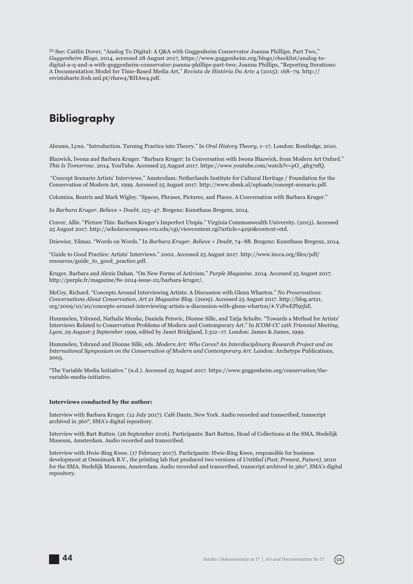53 See: Caitlin Dover, "Analog To Digital: A Q&A with Guggenheim Conservator Joanna Phillips, Part Two," *Guggenheim Blogs*, 2014, accessed 28 August 2017, https://www.guggenheim.org/blogs/checklist/analog-todigital-a-q-and-a-with-guggenheim-conservator-joanna-phillips-part-two; Joanna Phillips, "Reporting Iterations: A Documentation Model for Time-Based Media Art," *Revista de História Da Arte* 4 (2015): 168–79. http:// revistaharte.fcsh.unl.pt/rhaw4/RHAw4.pdf.

### **Bibliography**

Abrams, Lynn. "Introduction. Turning Practice into Theory." In *Oral History Theory*, 1–17. London: Routledge, 2010.

Blazwick, Iwona and Barbara Kruger. "Barbara Kruger: In Conversation with Iwona Blazwick, from Modern Art Oxford." *This Is Tomorrow*. 2014. YouTube. Accessed 25 August 2017. https://www.youtube.com/watch?v=pO\_4frg7efQ.

 "Concept Scenario Artists' Interviews." Amsterdam: Netherlands Institute for Cultural Heritage / Foundation for the Conservation of Modern Art, 1999. Accessed 25 August 2017. http://www.sbmk.nl/uploads/concept-scenario.pdf.

Colomina, Beatriz and Mark Wigley. "Spaces, Phrases, Pictures, and Places. A Conversation with Barbara Kruger."

In *Barbara Kruger. Believe + Doubt*, 123–47. Bregenz: Kunsthaus Bregenz, 2014.

Craver, Allie. "Picture This: Barbara Kruger's Imperfect Utopia." Virginia Commonwealth University. (2013). Accessed 25 August 2017. http://scholarscompass.vcu.edu/cgi/viewcontent.cgi?article=4290&context=etd.

Dziewior, Yilmaz. "Words on Words." In *Barbara Kruger. Believe + Doubt*, 74–88. Bregenz: Kunsthaus Bregenz, 2014.

"Guide to Good Practice: Artists' Interviews." 2002. Accessed 25 August 2017. http://www.incca.org/files/pdf/ resources/guide\_to\_good\_practice.pdf.

Kruger, Barbara and Alexis Dahan. "On New Forms of Activism." *Purple Magazine*. 2014. Accessed 25 August 2017. http://purple.fr/magazine/fw-2014-issue-22/barbara-kruger/.

McCoy, Richard. "Concepts Around Interviewing Artists: A Discussion with Glenn Wharton." *No Preservatives: Conversations About Conservation, Art 21 Magazine Blog*. (2009). Accessed 25 August 2017. http://blog.art21. org/2009/10/20/concepts-around-interviewing-artists-a-discussion-with-glenn-wharton/#.V1FwEPl95hE.

Hummelen, Ysbrand, Nathalie Menke, Daniela Petovic, Dionne Sille, and Tatja Scholte. "Towards a Method for Artists' Interviews Related to Conservation Problems of Modern and Contemporary Art." In *ICOM-CC 12th Triennial Meeting, Lyon, 29 August-3 September 1999*, edited by Janet Bridgland, I:312–17. London: James & James, 1999.

Hummelen, Ysbrand and Dionne Sillé, eds. *Modern Art: Who Cares? An Interdisciplinary Research Project and an International Symposium on the Conservation of Modern and Contemporary Art*. London: Archetype Publications, 2005.

"The Variable Media Initiative." (n.d.). Accessed 25 August 2017. https://www.guggenheim.org/conservation/thevariable-media-initiative.

#### **Interviews conducted by the author:**

Interview with Barbara Kruger. (12 July 2017). Café Dante, New York. Audio recorded and transcribed, transcript archived in *360°*, SMA's digital repository.

Interview with Bart Rutten. (26 September 2016). Participants: Bart Rutten, Head of Collections at the SMA. Stedelijk Museum, Amsterdam. Audio recorded and transcribed.

Interview with Hwie-Bing Kwee. (17 February 2017). Participants: Hwie-Bing Kwee, responsible for business development at Omnimark B.V., the printing lab that produced two versions of *Untitled (Past, Present, Future)*, 2010 for the SMA. Stedelijk Museum, Amsterdam. Audio recorded and transcribed, transcript archived in *360°*, SMA's digital repository.